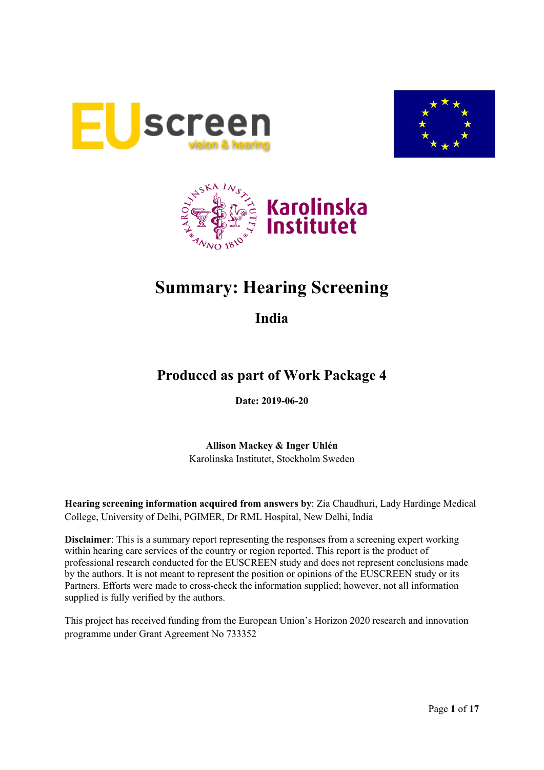





# **Summary: Hearing Screening**

**India**

## **Produced as part of Work Package 4**

**Date: 2019-06-20**

**Allison Mackey & Inger Uhlén** Karolinska Institutet, Stockholm Sweden

**Hearing screening information acquired from answers by**: Zia Chaudhuri, Lady Hardinge Medical College, University of Delhi, PGIMER, Dr RML Hospital, New Delhi, India

**Disclaimer**: This is a summary report representing the responses from a screening expert working within hearing care services of the country or region reported. This report is the product of professional research conducted for the EUSCREEN study and does not represent conclusions made by the authors. It is not meant to represent the position or opinions of the EUSCREEN study or its Partners. Efforts were made to cross-check the information supplied; however, not all information supplied is fully verified by the authors.

This project has received funding from the European Union's Horizon 2020 research and innovation programme under Grant Agreement No 733352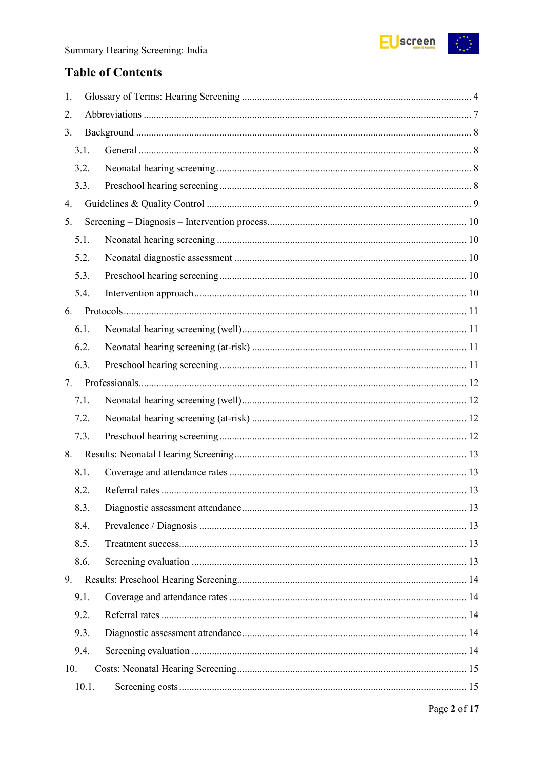

## **Table of Contents**

| 1.  |       |  |  |  |  |
|-----|-------|--|--|--|--|
| 2.  |       |  |  |  |  |
| 3.  |       |  |  |  |  |
|     | 3.1.  |  |  |  |  |
|     | 3.2.  |  |  |  |  |
|     | 3.3.  |  |  |  |  |
| 4.  |       |  |  |  |  |
| 5.  |       |  |  |  |  |
|     | 5.1.  |  |  |  |  |
|     | 5.2.  |  |  |  |  |
|     | 5.3.  |  |  |  |  |
|     | 5.4.  |  |  |  |  |
| 6.  |       |  |  |  |  |
|     | 6.1.  |  |  |  |  |
|     | 6.2.  |  |  |  |  |
|     | 6.3.  |  |  |  |  |
| 7.  |       |  |  |  |  |
|     | 7.1.  |  |  |  |  |
|     | 7.2.  |  |  |  |  |
|     | 7.3.  |  |  |  |  |
| 8.  |       |  |  |  |  |
|     | 8.1.  |  |  |  |  |
|     | 8.2.  |  |  |  |  |
|     | 8.3.  |  |  |  |  |
|     | 8.4.  |  |  |  |  |
|     | 8.5.  |  |  |  |  |
|     | 8.6.  |  |  |  |  |
| 9.  |       |  |  |  |  |
|     | 9.1.  |  |  |  |  |
|     | 9.2.  |  |  |  |  |
|     | 9.3.  |  |  |  |  |
|     | 9.4.  |  |  |  |  |
| 10. |       |  |  |  |  |
|     | 10.1. |  |  |  |  |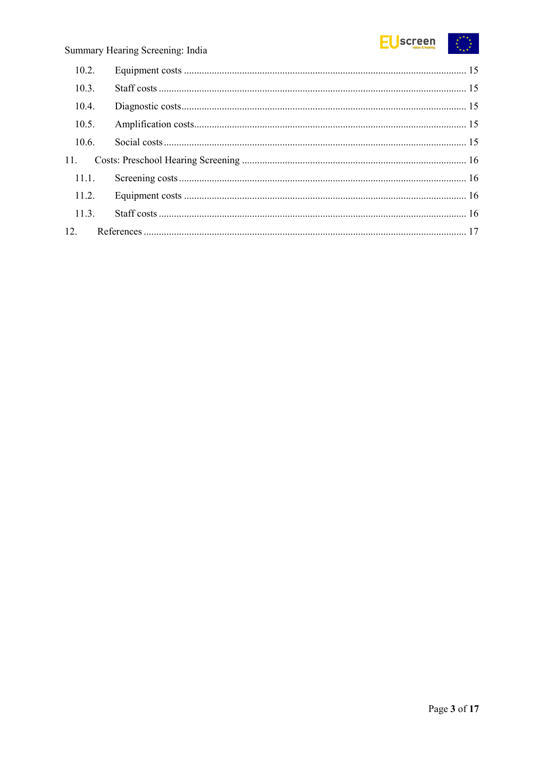

| 10.2. |  |
|-------|--|
| 10.3. |  |
| 10.4. |  |
| 10.5. |  |
| 10.6. |  |
| 11.   |  |
| 11.1. |  |
| 11.2. |  |
| 11.3. |  |
|       |  |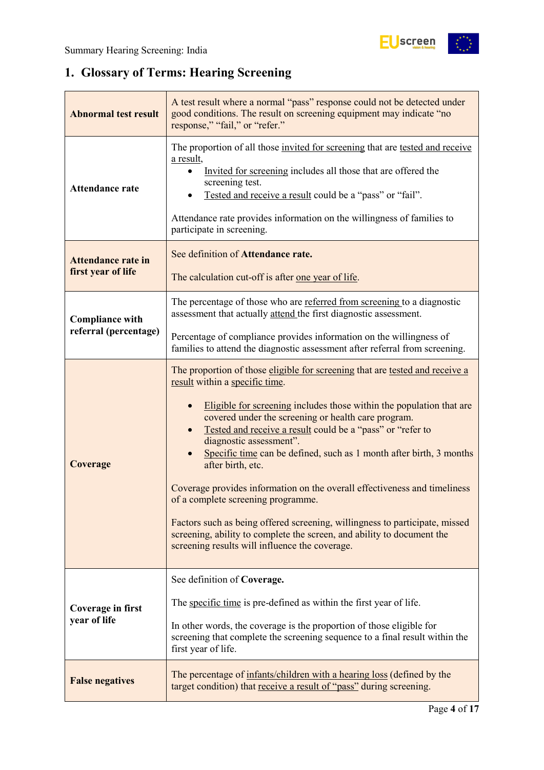## <span id="page-3-0"></span>**1. Glossary of Terms: Hearing Screening**

| <b>Abnormal test result</b>                     | A test result where a normal "pass" response could not be detected under<br>good conditions. The result on screening equipment may indicate "no<br>response," "fail," or "refer."                                                                                                                                                                                                                                                                                                                                                                                                                                                                                                                                                                                |
|-------------------------------------------------|------------------------------------------------------------------------------------------------------------------------------------------------------------------------------------------------------------------------------------------------------------------------------------------------------------------------------------------------------------------------------------------------------------------------------------------------------------------------------------------------------------------------------------------------------------------------------------------------------------------------------------------------------------------------------------------------------------------------------------------------------------------|
| <b>Attendance rate</b>                          | The proportion of all those invited for screening that are tested and receive<br>a result,<br>Invited for screening includes all those that are offered the<br>screening test.<br>Tested and receive a result could be a "pass" or "fail".<br>Attendance rate provides information on the willingness of families to<br>participate in screening.                                                                                                                                                                                                                                                                                                                                                                                                                |
| <b>Attendance rate in</b><br>first year of life | See definition of Attendance rate.<br>The calculation cut-off is after one year of life.                                                                                                                                                                                                                                                                                                                                                                                                                                                                                                                                                                                                                                                                         |
| <b>Compliance with</b>                          | The percentage of those who are referred from screening to a diagnostic<br>assessment that actually attend the first diagnostic assessment.                                                                                                                                                                                                                                                                                                                                                                                                                                                                                                                                                                                                                      |
| referral (percentage)                           | Percentage of compliance provides information on the willingness of<br>families to attend the diagnostic assessment after referral from screening.                                                                                                                                                                                                                                                                                                                                                                                                                                                                                                                                                                                                               |
| Coverage                                        | The proportion of those eligible for screening that are tested and receive a<br>result within a specific time.<br>Eligible for screening includes those within the population that are<br>covered under the screening or health care program.<br>Tested and receive a result could be a "pass" or "refer to<br>diagnostic assessment".<br>Specific time can be defined, such as 1 month after birth, 3 months<br>after birth, etc.<br>Coverage provides information on the overall effectiveness and timeliness<br>of a complete screening programme.<br>Factors such as being offered screening, willingness to participate, missed<br>screening, ability to complete the screen, and ability to document the<br>screening results will influence the coverage. |
| <b>Coverage in first</b><br>year of life        | See definition of Coverage.<br>The specific time is pre-defined as within the first year of life.<br>In other words, the coverage is the proportion of those eligible for<br>screening that complete the screening sequence to a final result within the<br>first year of life.                                                                                                                                                                                                                                                                                                                                                                                                                                                                                  |
| <b>False negatives</b>                          | The percentage of infants/children with a hearing loss (defined by the<br>target condition) that receive a result of "pass" during screening.                                                                                                                                                                                                                                                                                                                                                                                                                                                                                                                                                                                                                    |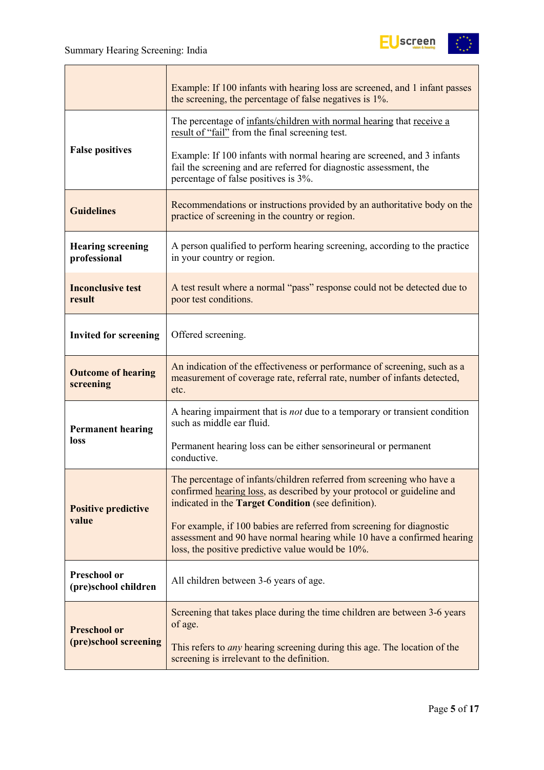

|                                             | Example: If 100 infants with hearing loss are screened, and 1 infant passes<br>the screening, the percentage of false negatives is 1%.                                                                 |
|---------------------------------------------|--------------------------------------------------------------------------------------------------------------------------------------------------------------------------------------------------------|
|                                             | The percentage of infants/children with normal hearing that receive a<br>result of "fail" from the final screening test.                                                                               |
| <b>False positives</b>                      | Example: If 100 infants with normal hearing are screened, and 3 infants<br>fail the screening and are referred for diagnostic assessment, the<br>percentage of false positives is 3%.                  |
| <b>Guidelines</b>                           | Recommendations or instructions provided by an authoritative body on the<br>practice of screening in the country or region.                                                                            |
| <b>Hearing screening</b><br>professional    | A person qualified to perform hearing screening, according to the practice<br>in your country or region.                                                                                               |
| <b>Inconclusive test</b><br>result          | A test result where a normal "pass" response could not be detected due to<br>poor test conditions.                                                                                                     |
| <b>Invited for screening</b>                | Offered screening.                                                                                                                                                                                     |
| <b>Outcome of hearing</b><br>screening      | An indication of the effectiveness or performance of screening, such as a<br>measurement of coverage rate, referral rate, number of infants detected,<br>etc.                                          |
| <b>Permanent hearing</b>                    | A hearing impairment that is <i>not</i> due to a temporary or transient condition<br>such as middle ear fluid.                                                                                         |
| loss                                        | Permanent hearing loss can be either sensorineural or permanent<br>conductive.                                                                                                                         |
| <b>Positive predictive</b>                  | The percentage of infants/children referred from screening who have a<br>confirmed hearing loss, as described by your protocol or guideline and<br>indicated in the Target Condition (see definition). |
| value                                       | For example, if 100 babies are referred from screening for diagnostic<br>assessment and 90 have normal hearing while 10 have a confirmed hearing<br>loss, the positive predictive value would be 10%.  |
| <b>Preschool or</b><br>(pre)school children | All children between 3-6 years of age.                                                                                                                                                                 |
| <b>Preschool or</b>                         | Screening that takes place during the time children are between 3-6 years<br>of age.                                                                                                                   |
| (pre)school screening                       | This refers to <i>any</i> hearing screening during this age. The location of the<br>screening is irrelevant to the definition.                                                                         |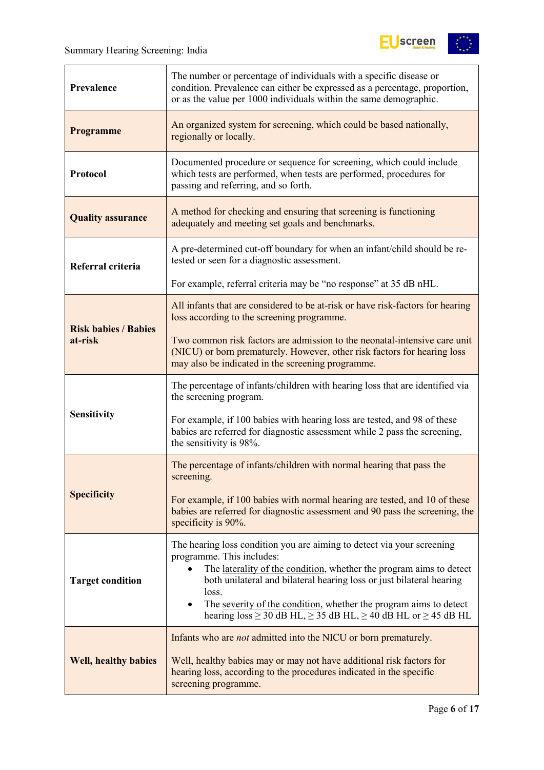

| Prevalence                  | The number or percentage of individuals with a specific disease or<br>condition. Prevalence can either be expressed as a percentage, proportion,<br>or as the value per 1000 individuals within the same demographic.                                           |
|-----------------------------|-----------------------------------------------------------------------------------------------------------------------------------------------------------------------------------------------------------------------------------------------------------------|
| Programme                   | An organized system for screening, which could be based nationally,<br>regionally or locally.                                                                                                                                                                   |
| Protocol                    | Documented procedure or sequence for screening, which could include<br>which tests are performed, when tests are performed, procedures for<br>passing and referring, and so forth.                                                                              |
| <b>Quality assurance</b>    | A method for checking and ensuring that screening is functioning<br>adequately and meeting set goals and benchmarks.                                                                                                                                            |
| Referral criteria           | A pre-determined cut-off boundary for when an infant/child should be re-<br>tested or seen for a diagnostic assessment.                                                                                                                                         |
|                             | For example, referral criteria may be "no response" at 35 dB nHL.                                                                                                                                                                                               |
| <b>Risk babies / Babies</b> | All infants that are considered to be at-risk or have risk-factors for hearing<br>loss according to the screening programme.                                                                                                                                    |
| at-risk                     | Two common risk factors are admission to the neonatal-intensive care unit<br>(NICU) or born prematurely. However, other risk factors for hearing loss<br>may also be indicated in the screening programme.                                                      |
|                             | The percentage of infants/children with hearing loss that are identified via<br>the screening program.                                                                                                                                                          |
| <b>Sensitivity</b>          | For example, if 100 babies with hearing loss are tested, and 98 of these<br>babies are referred for diagnostic assessment while 2 pass the screening,<br>the sensitivity is 98%.                                                                                |
|                             | The percentage of infants/children with normal hearing that pass the<br>screening.                                                                                                                                                                              |
| <b>Specificity</b>          | For example, if 100 babies with normal hearing are tested, and 10 of these<br>babies are referred for diagnostic assessment and 90 pass the screening, the<br>specificity is 90%.                                                                               |
| <b>Target condition</b>     | The hearing loss condition you are aiming to detect via your screening<br>programme. This includes:<br>The laterality of the condition, whether the program aims to detect<br>$\bullet$<br>both unilateral and bilateral hearing loss or just bilateral hearing |
|                             | loss.<br>The severity of the condition, whether the program aims to detect<br>$\bullet$<br>hearing $loss \ge 30$ dB HL, $\ge 35$ dB HL, $\ge 40$ dB HL or $\ge 45$ dB HL                                                                                        |
|                             | Infants who are <i>not</i> admitted into the NICU or born prematurely.                                                                                                                                                                                          |
| <b>Well, healthy babies</b> | Well, healthy babies may or may not have additional risk factors for<br>hearing loss, according to the procedures indicated in the specific<br>screening programme.                                                                                             |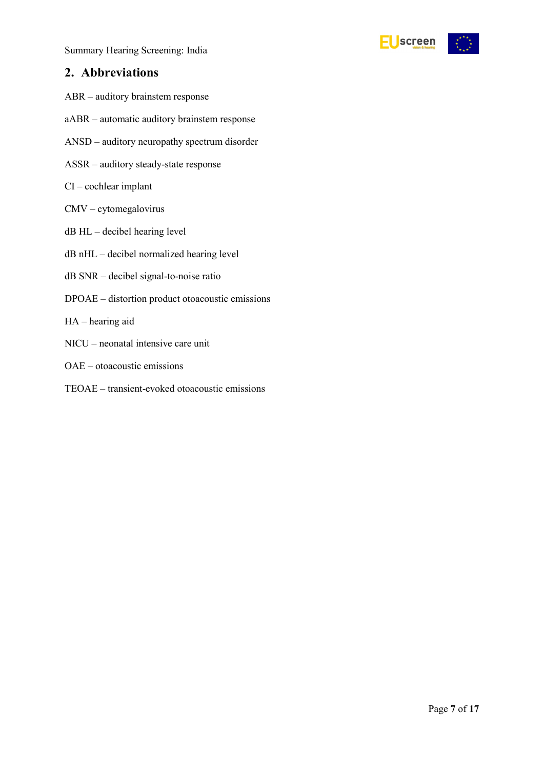Summary Hearing Screening: India



### <span id="page-6-0"></span>**2. Abbreviations**

- ABR auditory brainstem response
- aABR automatic auditory brainstem response
- ANSD auditory neuropathy spectrum disorder
- ASSR auditory steady-state response
- CI cochlear implant
- CMV cytomegalovirus
- dB HL decibel hearing level
- dB nHL decibel normalized hearing level
- dB SNR decibel signal-to-noise ratio
- DPOAE distortion product otoacoustic emissions
- HA hearing aid
- NICU neonatal intensive care unit
- OAE otoacoustic emissions
- TEOAE transient-evoked otoacoustic emissions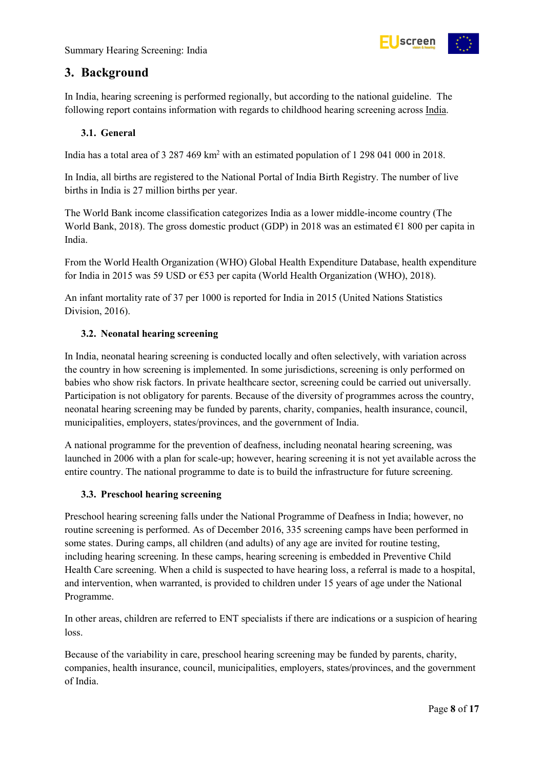

### <span id="page-7-0"></span>**3. Background**

In India, hearing screening is performed regionally, but according to the national guideline. The following report contains information with regards to childhood hearing screening across India.

#### <span id="page-7-1"></span>**3.1. General**

India has a total area of 3 287 469 km2 with an estimated population of 1 298 041 000 in 2018.

In India, all births are registered to the National Portal of India Birth Registry. The number of live births in India is 27 million births per year.

The World Bank income classification categorizes India as a lower middle-income country (The World Bank, 2018). The gross domestic product (GDP) in 2018 was an estimated €1 800 per capita in India.

From the World Health Organization (WHO) Global Health Expenditure Database, health expenditure for India in 2015 was 59 USD or  $\epsilon$ 53 per capita (World Health Organization (WHO), 2018).

An infant mortality rate of 37 per 1000 is reported for India in 2015 (United Nations Statistics Division, 2016).

#### <span id="page-7-2"></span>**3.2. Neonatal hearing screening**

In India, neonatal hearing screening is conducted locally and often selectively, with variation across the country in how screening is implemented. In some jurisdictions, screening is only performed on babies who show risk factors. In private healthcare sector, screening could be carried out universally. Participation is not obligatory for parents. Because of the diversity of programmes across the country, neonatal hearing screening may be funded by parents, charity, companies, health insurance, council, municipalities, employers, states/provinces, and the government of India.

A national programme for the prevention of deafness, including neonatal hearing screening, was launched in 2006 with a plan for scale-up; however, hearing screening it is not yet available across the entire country. The national programme to date is to build the infrastructure for future screening.

#### <span id="page-7-3"></span>**3.3. Preschool hearing screening**

Preschool hearing screening falls under the National Programme of Deafness in India; however, no routine screening is performed. As of December 2016, 335 screening camps have been performed in some states. During camps, all children (and adults) of any age are invited for routine testing, including hearing screening. In these camps, hearing screening is embedded in Preventive Child Health Care screening. When a child is suspected to have hearing loss, a referral is made to a hospital, and intervention, when warranted, is provided to children under 15 years of age under the National Programme.

In other areas, children are referred to ENT specialists if there are indications or a suspicion of hearing loss.

Because of the variability in care, preschool hearing screening may be funded by parents, charity, companies, health insurance, council, municipalities, employers, states/provinces, and the government of India.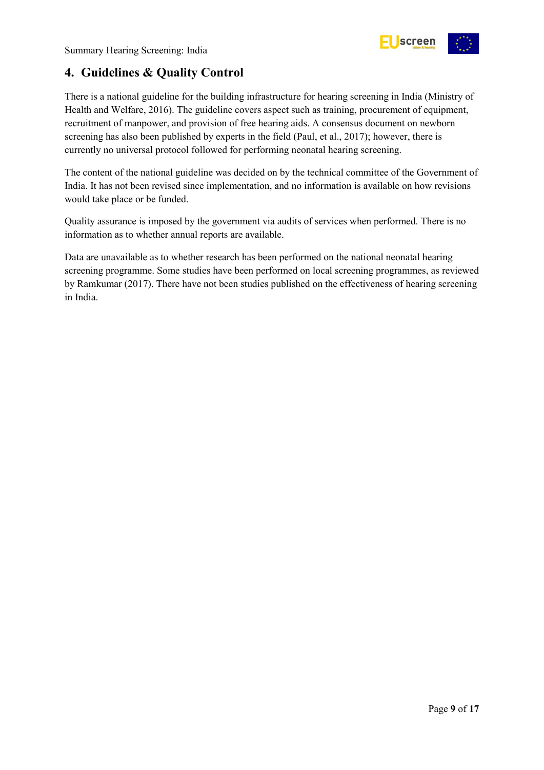

### <span id="page-8-0"></span>**4. Guidelines & Quality Control**

There is a national guideline for the building infrastructure for hearing screening in India (Ministry of Health and Welfare, 2016). The guideline covers aspect such as training, procurement of equipment, recruitment of manpower, and provision of free hearing aids. A consensus document on newborn screening has also been published by experts in the field (Paul, et al., 2017); however, there is currently no universal protocol followed for performing neonatal hearing screening.

The content of the national guideline was decided on by the technical committee of the Government of India. It has not been revised since implementation, and no information is available on how revisions would take place or be funded.

Quality assurance is imposed by the government via audits of services when performed. There is no information as to whether annual reports are available.

Data are unavailable as to whether research has been performed on the national neonatal hearing screening programme. Some studies have been performed on local screening programmes, as reviewed by Ramkumar (2017). There have not been studies published on the effectiveness of hearing screening in India.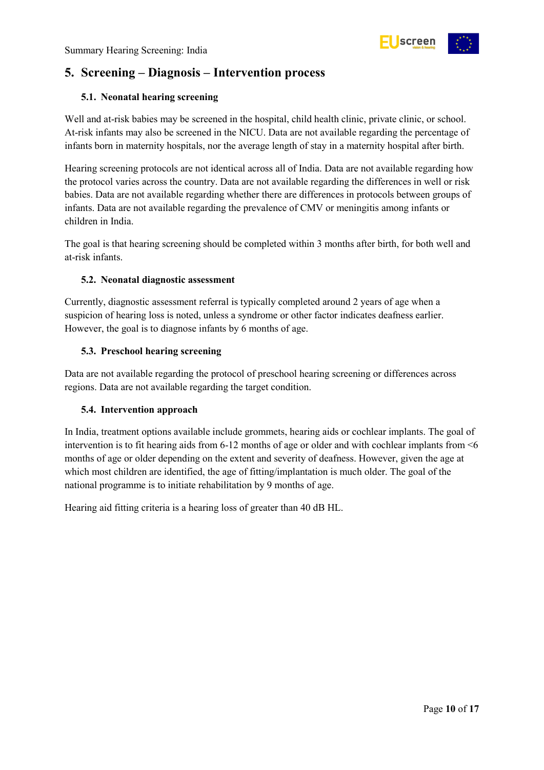

### <span id="page-9-0"></span>**5. Screening – Diagnosis – Intervention process**

#### <span id="page-9-1"></span>**5.1. Neonatal hearing screening**

Well and at-risk babies may be screened in the hospital, child health clinic, private clinic, or school. At-risk infants may also be screened in the NICU. Data are not available regarding the percentage of infants born in maternity hospitals, nor the average length of stay in a maternity hospital after birth.

Hearing screening protocols are not identical across all of India. Data are not available regarding how the protocol varies across the country. Data are not available regarding the differences in well or risk babies. Data are not available regarding whether there are differences in protocols between groups of infants. Data are not available regarding the prevalence of CMV or meningitis among infants or children in India.

The goal is that hearing screening should be completed within 3 months after birth, for both well and at-risk infants.

#### <span id="page-9-2"></span>**5.2. Neonatal diagnostic assessment**

Currently, diagnostic assessment referral is typically completed around 2 years of age when a suspicion of hearing loss is noted, unless a syndrome or other factor indicates deafness earlier. However, the goal is to diagnose infants by 6 months of age.

#### <span id="page-9-3"></span>**5.3. Preschool hearing screening**

Data are not available regarding the protocol of preschool hearing screening or differences across regions. Data are not available regarding the target condition.

#### <span id="page-9-4"></span>**5.4. Intervention approach**

In India, treatment options available include grommets, hearing aids or cochlear implants. The goal of intervention is to fit hearing aids from 6-12 months of age or older and with cochlear implants from <6 months of age or older depending on the extent and severity of deafness. However, given the age at which most children are identified, the age of fitting/implantation is much older. The goal of the national programme is to initiate rehabilitation by 9 months of age.

Hearing aid fitting criteria is a hearing loss of greater than 40 dB HL.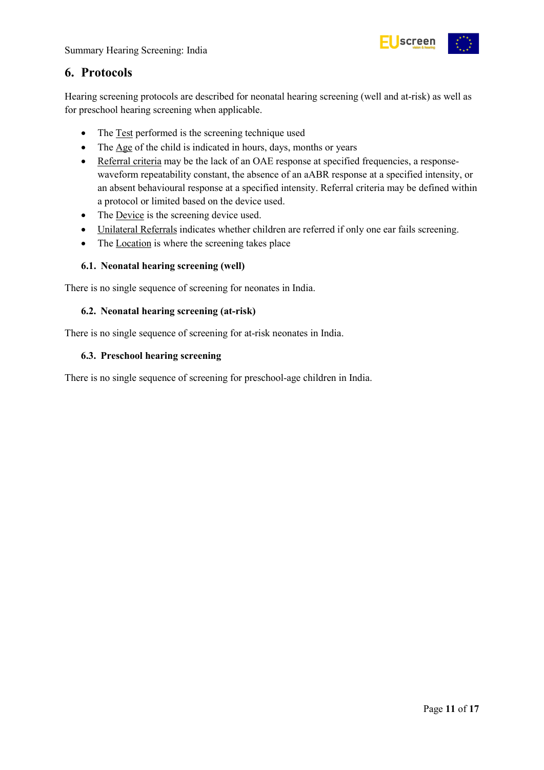

### <span id="page-10-0"></span>**6. Protocols**

Hearing screening protocols are described for neonatal hearing screening (well and at-risk) as well as for preschool hearing screening when applicable.

- The Test performed is the screening technique used
- The Age of the child is indicated in hours, days, months or years
- Referral criteria may be the lack of an OAE response at specified frequencies, a responsewaveform repeatability constant, the absence of an aABR response at a specified intensity, or an absent behavioural response at a specified intensity. Referral criteria may be defined within a protocol or limited based on the device used.
- The Device is the screening device used.
- Unilateral Referrals indicates whether children are referred if only one ear fails screening.
- The Location is where the screening takes place

#### <span id="page-10-1"></span>**6.1. Neonatal hearing screening (well)**

There is no single sequence of screening for neonates in India.

#### <span id="page-10-2"></span>**6.2. Neonatal hearing screening (at-risk)**

There is no single sequence of screening for at-risk neonates in India.

#### <span id="page-10-3"></span>**6.3. Preschool hearing screening**

There is no single sequence of screening for preschool-age children in India.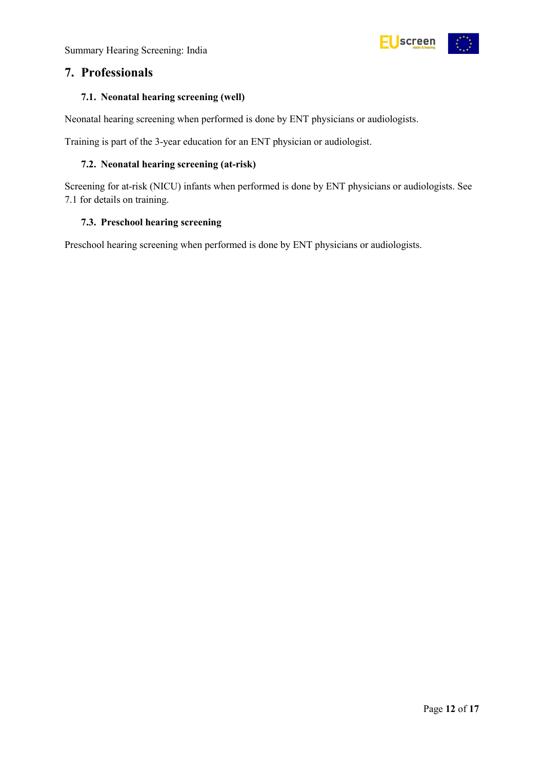Summary Hearing Screening: India



### <span id="page-11-0"></span>**7. Professionals**

#### <span id="page-11-1"></span>**7.1. Neonatal hearing screening (well)**

Neonatal hearing screening when performed is done by ENT physicians or audiologists.

Training is part of the 3-year education for an ENT physician or audiologist.

#### <span id="page-11-2"></span>**7.2. Neonatal hearing screening (at-risk)**

Screening for at-risk (NICU) infants when performed is done by ENT physicians or audiologists. See 7.1 for details on training.

#### <span id="page-11-3"></span>**7.3. Preschool hearing screening**

Preschool hearing screening when performed is done by ENT physicians or audiologists.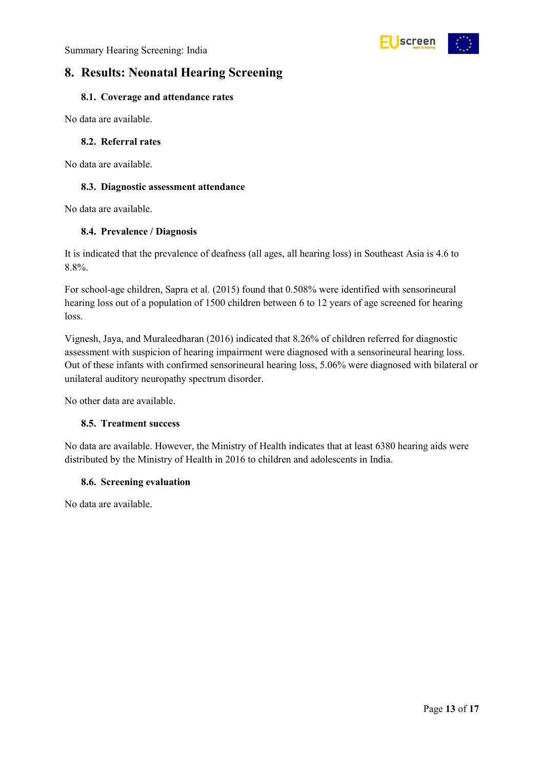

### <span id="page-12-0"></span>**8. Results: Neonatal Hearing Screening**

#### <span id="page-12-1"></span>**8.1. Coverage and attendance rates**

No data are available.

#### <span id="page-12-2"></span>**8.2. Referral rates**

No data are available.

#### <span id="page-12-3"></span>**8.3. Diagnostic assessment attendance**

No data are available.

#### <span id="page-12-4"></span>**8.4. Prevalence / Diagnosis**

It is indicated that the prevalence of deafness (all ages, all hearing loss) in Southeast Asia is 4.6 to 8.8%.

For school-age children, Sapra et al. (2015) found that 0.508% were identified with sensorineural hearing loss out of a population of 1500 children between 6 to 12 years of age screened for hearing loss.

Vignesh, Jaya, and Muraleedharan (2016) indicated that 8.26% of children referred for diagnostic assessment with suspicion of hearing impairment were diagnosed with a sensorineural hearing loss. Out of these infants with confirmed sensorineural hearing loss, 5.06% were diagnosed with bilateral or unilateral auditory neuropathy spectrum disorder.

No other data are available.

#### <span id="page-12-5"></span>**8.5. Treatment success**

No data are available. However, the Ministry of Health indicates that at least 6380 hearing aids were distributed by the Ministry of Health in 2016 to children and adolescents in India.

#### <span id="page-12-6"></span>**8.6. Screening evaluation**

No data are available.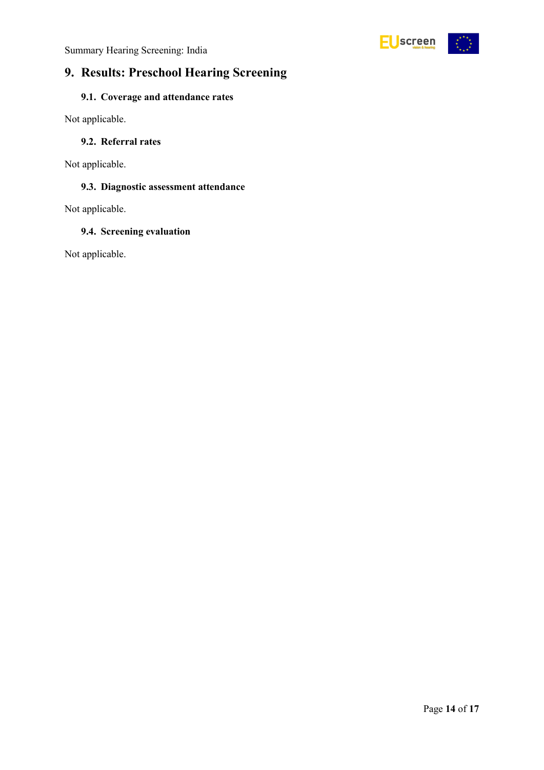Summary Hearing Screening: India



### <span id="page-13-0"></span>**9. Results: Preschool Hearing Screening**

### <span id="page-13-1"></span>**9.1. Coverage and attendance rates**

Not applicable.

#### <span id="page-13-2"></span>**9.2. Referral rates**

Not applicable.

### <span id="page-13-3"></span>**9.3. Diagnostic assessment attendance**

Not applicable.

#### <span id="page-13-4"></span>**9.4. Screening evaluation**

Not applicable.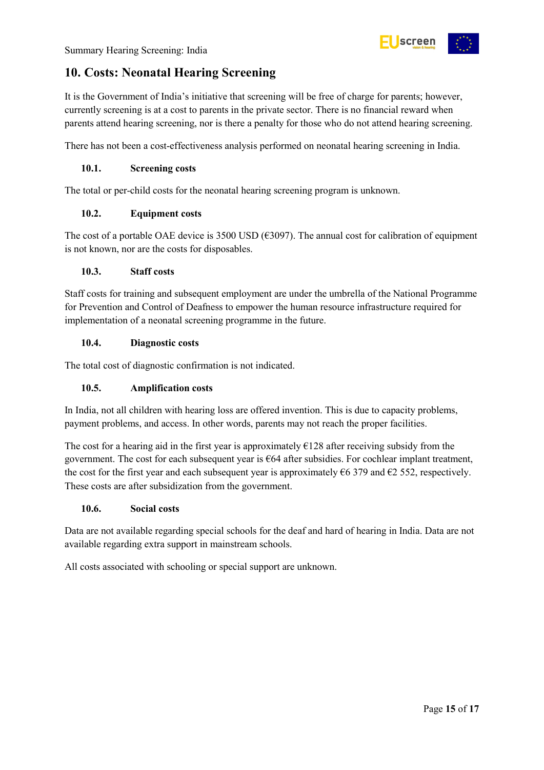### <span id="page-14-0"></span>**10. Costs: Neonatal Hearing Screening**

It is the Government of India's initiative that screening will be free of charge for parents; however, currently screening is at a cost to parents in the private sector. There is no financial reward when parents attend hearing screening, nor is there a penalty for those who do not attend hearing screening.

screen

There has not been a cost-effectiveness analysis performed on neonatal hearing screening in India.

#### <span id="page-14-1"></span>**10.1. Screening costs**

The total or per-child costs for the neonatal hearing screening program is unknown.

#### <span id="page-14-2"></span>**10.2. Equipment costs**

The cost of a portable OAE device is 3500 USD ( $\epsilon$ 3097). The annual cost for calibration of equipment is not known, nor are the costs for disposables.

#### <span id="page-14-3"></span>**10.3. Staff costs**

Staff costs for training and subsequent employment are under the umbrella of the National Programme for Prevention and Control of Deafness to empower the human resource infrastructure required for implementation of a neonatal screening programme in the future.

#### <span id="page-14-4"></span>**10.4. Diagnostic costs**

The total cost of diagnostic confirmation is not indicated.

#### <span id="page-14-5"></span>**10.5. Amplification costs**

In India, not all children with hearing loss are offered invention. This is due to capacity problems, payment problems, and access. In other words, parents may not reach the proper facilities.

The cost for a hearing aid in the first year is approximately  $\epsilon$ 128 after receiving subsidy from the government. The cost for each subsequent year is €64 after subsidies. For cochlear implant treatment, the cost for the first year and each subsequent year is approximately  $\epsilon$ 6 379 and  $\epsilon$ 2 552, respectively. These costs are after subsidization from the government.

#### <span id="page-14-6"></span>**10.6. Social costs**

Data are not available regarding special schools for the deaf and hard of hearing in India. Data are not available regarding extra support in mainstream schools.

All costs associated with schooling or special support are unknown.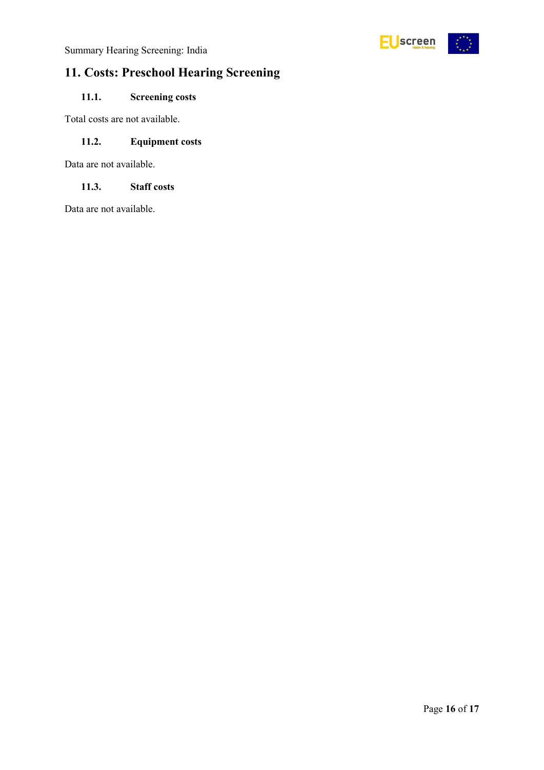

## <span id="page-15-0"></span>**11. Costs: Preschool Hearing Screening**

### <span id="page-15-1"></span>**11.1. Screening costs**

Total costs are not available.

#### <span id="page-15-2"></span>**11.2. Equipment costs**

Data are not available.

#### <span id="page-15-3"></span>**11.3. Staff costs**

Data are not available.